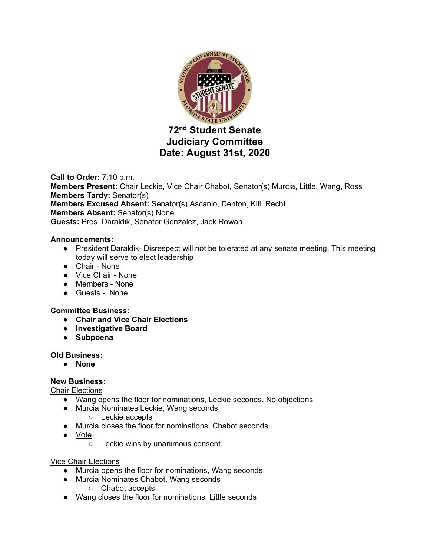

# **Judiciary Committee Date: August 31st, 2020**

**Call to Order:** 7:10 p.m. **Members Present:** Chair Leckie, Vice Chair Chabot, Senator(s) Murcia, Little, Wang, Ross **Members Tardy:** Senator(s) **Members Excused Absent:** Senator(s) Ascanio, Denton, Kill, Recht **Members Absent:** Senator(s) None **Guests:** Pres. Daraldik, Senator Gonzalez, Jack Rowan

## **Announcements:**

- President Daraldik-Disrespect will not be tolerated at any senate meeting. This meeting today will serve to elect leadership
- Chair None
- Vice Chair None
- Members None
- Guests None

### **Committee Business:**

- **Chair and Vice Chair Elections**
- **Investigative Board**
- **Subpoena**

### **Old Business:**

● **None**

### **New Business:**

Chair Elections

- Wang opens the floor for nominations, Leckie seconds, No objections
- Murcia Nominates Leckie, Wang seconds
	- Leckie accepts
- Murcia closes the floor for nominations, Chabot seconds
- Vote
	- Leckie wins by unanimous consent

### Vice Chair Elections

- Murcia opens the floor for nominations, Wang seconds
- Murcia Nominates Chabot, Wang seconds
	- Chabot accepts
- Wang closes the floor for nominations, Little seconds